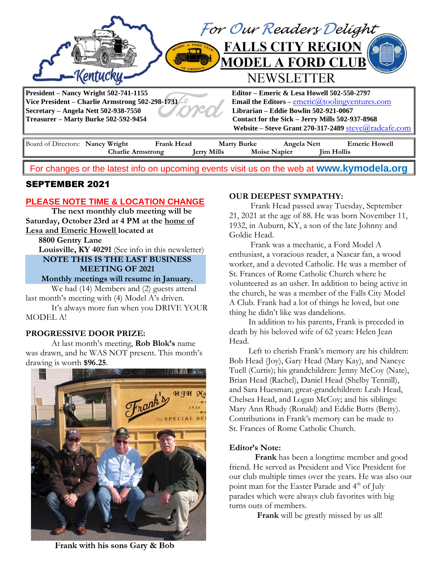

For changes or the latest info on upcoming events visit us on the web at **[www.kymodela.org](http://www.kymodela.org/)**

# SEPTEMBER 2021

## **PLEASE NOTE TIME & LOCATION CHANGE**

**The next monthly club meeting will be Saturday, October 23rd at 4 PM at the home of Lesa and Emeric Howell located at**

 **8800 Gentry Lane**

 **Louisville, KY 40291** (See info in this newsletter)

**NOTE THIS IS THE LAST BUSINESS MEETING OF 2021**

**Monthly meetings will resume in January.**

We had (14) Members and (2) guests attend last month's meeting with (4) Model A's driven.

It's always more fun when you DRIVE YOUR MODEL A!

### **PROGRESSIVE DOOR PRIZE:**

At last month's meeting, **Rob Blok's** name was drawn, and he WAS NOT present. This month's drawing is worth **\$96.25**.



### **OUR DEEPEST SYMPATHY:**

Frank Head passed away Tuesday, September 21, 2021 at the age of 88. He was born November 11, 1932, in Auburn, KY, a son of the late Johnny and Goldie Head.

 Frank was a mechanic, a Ford Model A enthusiast, a voracious reader, a Nascar fan, a wood worker, and a devoted Catholic. He was a member of St. Frances of Rome Catholic Church where he volunteered as an usher. In addition to being active in the church, he was a member of the Falls City Model A Club. Frank had a lot of things he loved, but one thing he didn't like was dandelions.

 In addition to his parents, Frank is preceded in death by his beloved wife of 62 years: Helen Jean Head.

 Left to cherish Frank's memory are his children: Bob Head (Joy), Gary Head (Mary Kay), and Nancye Tuell (Curtis); his grandchildren: Jenny McCoy (Nate), Brian Head (Rachel), Daniel Head (Shelby Tennill), and Sara Huesman; great-grandchildren: Leah Head, Chelsea Head, and Logan McCoy; and his siblings: Mary Ann Rhudy (Ronald) and Eddie Butts (Betty). Contributions in Frank's memory can be made to St. Frances of Rome Catholic Church.

### **Editor's Note:**

 **Frank** has been a longtime member and good friend. He served as President and Vice President for our club multiple times over the years. He was also our point man for the Easter Parade and 4<sup>th</sup> of July parades which were always club favorites with big turns outs of members.

**Frank** will be greatly missed by us all!

Frank with his sons Gary & Bob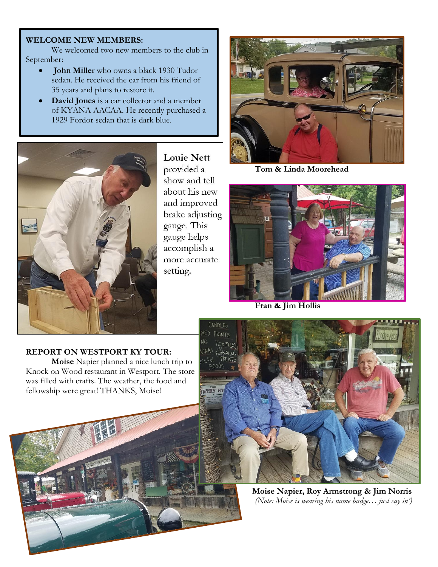### **WELCOME NEW MEMBERS:**

We welcomed two new members to the club in September:

- **John Miller** who owns a black 1930 Tudor sedan. He received the car from his friend of 35 years and plans to restore it.
- **David Jones** is a car collector and a member of KYANA AACAA. He recently purchased a 1929 Fordor sedan that is dark blue.



**Louie Nett** provided a show and tell about his new and improved brake adjusting gauge. This gauge helps accomplish a more accurate setting.



**Tom & Linda Moorehead**



**Fran & Jim Hollis**

### **REPORT ON WESTPORT KY TOUR:**

**Moise** Napier planned a nice lunch trip to Knock on Wood restaurant in Westport. The store was filled with crafts. The weather, the food and fellowship were great! THANKS, Moise!





**Moise Napier, Roy Armstrong & Jim Norris** *(Note: Moise is wearing his name badge… just say in')*